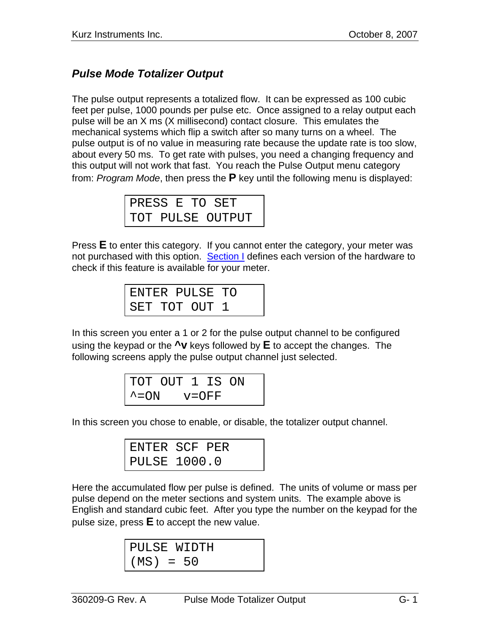## *Pulse Mode Totalizer Output*

The pulse output represents a totalized flow. It can be expressed as 100 cubic feet per pulse, 1000 pounds per pulse etc. Once assigned to a relay output each pulse will be an X ms (X millisecond) contact closure. This emulates the mechanical systems which flip a switch after so many turns on a wheel. The pulse output is of no value in measuring rate because the update rate is too slow, about every 50 ms. To get rate with pulses, you need a changing frequency and this output will not work that fast. You reach the Pulse Output menu category from: *Program Mode*, then press the **P** key until the following menu is displayed:

| PRESS E TO SET |  |  |                  |
|----------------|--|--|------------------|
|                |  |  | TOT PULSE OUTPUT |

Press **E** to enter this category. If you cannot enter the category, your meter was not purchased with this option. Section I defines each version of the hardware to check if this feature is available for your meter.

|  | ENTER PULSE TO |  |
|--|----------------|--|
|  | SET TOT OUT 1  |  |

In this screen you enter a 1 or 2 for the pulse output channel to be configured using the keypad or the **^v** keys followed by **E** to accept the changes. The following screens apply the pulse output channel just selected.

|                    | TOT OUT 1 IS ON |  |  |
|--------------------|-----------------|--|--|
| $\sim$ = $\circ$ N | $v = OFF$       |  |  |

In this screen you chose to enable, or disable, the totalizer output channel.

| ENTER SCF PER       |
|---------------------|
| <b>PULSE 1000.0</b> |

Here the accumulated flow per pulse is defined. The units of volume or mass per pulse depend on the meter sections and system units. The example above is English and standard cubic feet. After you type the number on the keypad for the pulse size, press **E** to accept the new value.

PULSE WIDTH (MS) = 50